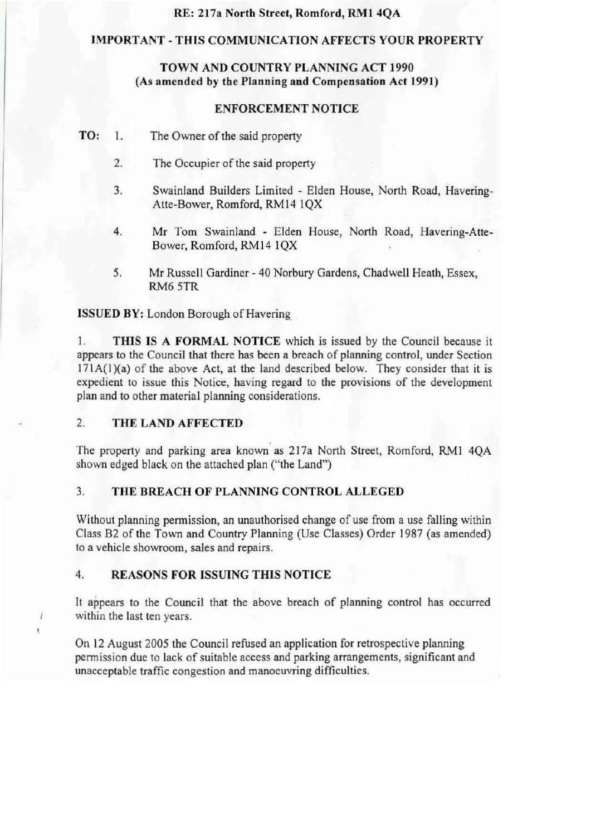### RE: 217a North Street, Romford, RMI 4QA

### IMPORTANT - THIS COMMUNlCATION AFFECTS YOUR PROPERTY

# TOWN AND COUNTRY PLANNING ACT 1990 {As amended by the Planning and Compensation Act 1991)

### ENFORCEMENT NOTICE

- TO: 1. The Owner of the said property
	- 2. The Occupier of the said property
	- 3. Swainland Builders Limited Elden House, North Road, Havering-Atte-Bower, Romford, RM14 1QX
	- 4. Mr Tom Swainland Elden House, North Road, Havering-Atte-Bower, Romford, RM14 1QX
	- 5. Mr Russell Gardiner 40 Norbury Gardens, Chadwell Heath, Essex, RM6 5TR

1SSUED BY: London Borough of Havering\_

1. THIS IS A FORMAL NOTICE which is issued by the Council because it appears to the Council that there has been a breach of planning control, under Section  $171A(1)(a)$  of the above Act, at the land described below. They consider that it is expedient to issue this Notice, having regard to the provisions of the development plan and to other material planning considerations.

### 2. THE LAND AFFECTED

1  $\mathbf{t}$ 

The property and parking area known as 217a North Street, Romford, RM1 4QA shown edged black on the attached plan ("the Land")

# 3. THE BREACH OF PLANNING CONTROL ALLEGED

Without planning permission, an unauthorised change of use from a use falling within Class B2 of the Town and Country Planning (Use Classes) Order 1987 (as amended) to a vehicle showroom, sales and repairs.

### 4. REASONS FOR ISSUING THIS NOTICE

It appears to the Council that the above breach of planning control has occurred within the last ten years.

On 12 August 2005 the Council refused an application for retrospective planning permission due to lack of suitable access and parking arrangements, significant and unacceptable traffic congestion and manoeuvring difficulties.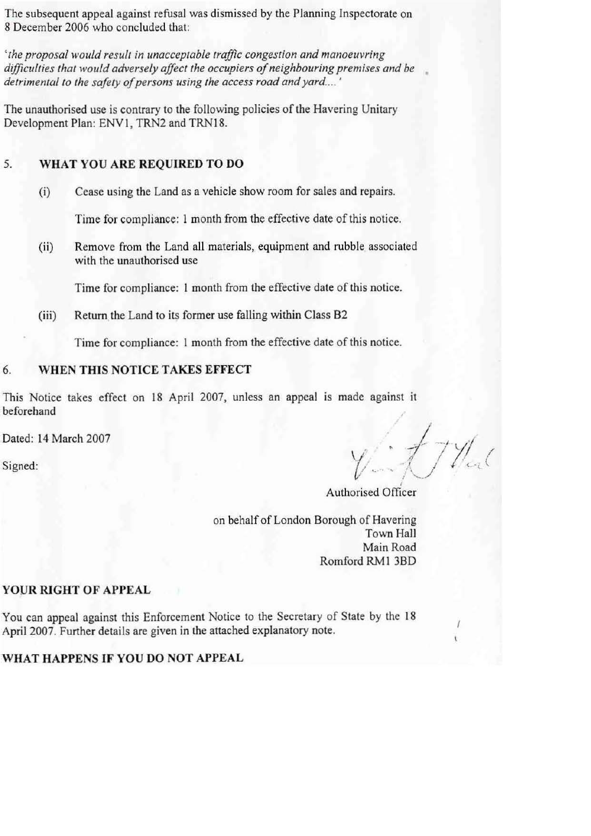The subsequent appeal against refusal was dismissed by the Planning Inspectorate on 8 December 2006 who concluded that:

*' the proposal would result in unacceptable traffic congestion and manoeuvring* difficulties that would adversely affect the occupiers of neighbouring premises and be detrimental to the safety of persons using the access road and yard....'

The unauthorised use is contrary to the following policies of the Havering Unitary Development Plan: ENV1, TRN2 and TRN18.

# 5. **WHAT YOU ARE REQUIRED TO DO**

(i) Cease using the Land as a vehicle show room for sales and repairs.

Time for compliance: 1 month from the effective date of this notice.

(ii) Remove from the Land all materials, equipment and rubble associated with the unauthorised use

Time for compliance: **1** month from the effective date ofthis notice.

(iii) Return the Land to its former use falling within Class B2

Time for compliance: 1 month from the effective date of this notice.

### 6. **WHEN THIS NOTICE TAKES EFFECT**

This Notice takes effect on 18 April 2007, unless an appeal is made against it beforehand

Dated: 14 March 2007

 $v \cdot t$  / // /  $\mathcal{L}$  igned:  $\mathcal{L} \setminus \mathcal{L}$ 

I Authorised Officer

on behalf of London Borough of Havering Town Hall Main Road Romford RMI 3BD

# **YOUR RIGHT OF APPEAL**

You can appeal against this Enforcement Notice to the Secretary of State by the 18 April 2007. Further details are given in the attached explanatory note.

# **WHAT HAPPENS IF YOU DO NOT APPEAL**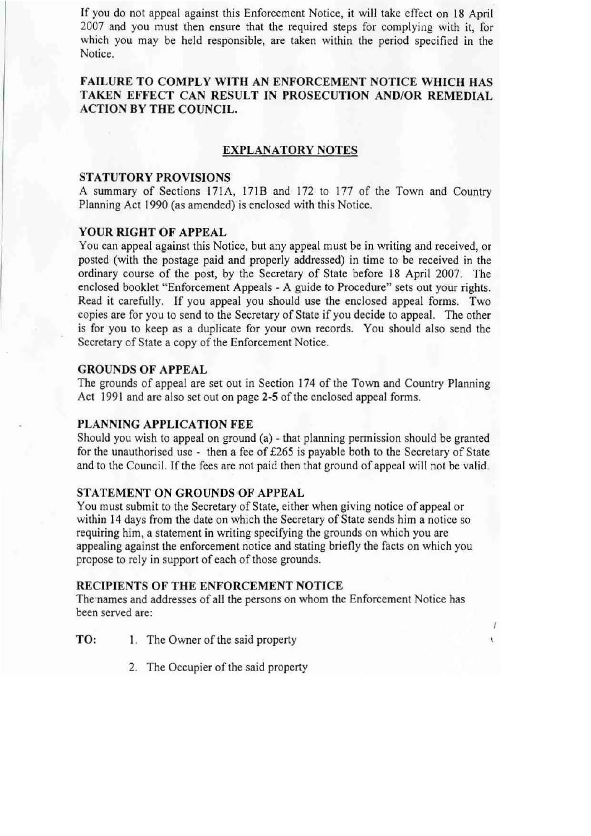If you do not appeal against this Enforcement Notice, it will take effect on 18 April 2007 and you must then ensure that the required steps for complying with it, for which you may be held responsible, are taken within the period specified in the Notice.

# FAILURE TO COMPLY WITH AN ENFORCEMENT NOTICE WHICH HAS TAKEN EFFECT CAN RESULT IN PROSECUTION AND/OR REMEDIAL ACTION BY THE COUNCIL.

## EXPLANATORY NOTES

#### STATUTORY PROVISIONS

A summary of Sections 171A, 171B and 172 to 177 of the Town and Country Planning Act 1990 (as amended) is enclosed with this Notice.

### YOUR RIGHT OF APPEAL

You can appeal against this Notice, but any appeal must be in writing and received, or posted (with the postage paid and properly addressed) in time to be received in the ordinary course of the post, by the Secretary of State before 18 April 2007. The enclosed booklet "Enforcement Appeals - A guide to Procedure" sets out your rights. Read it carefully. If you appeal you should use the enclosed appeal forms. Two copies are for you to send to the Secretary of State if you decide to appeal. The other is for you to keep as a duplicate for your own records. You should also send the Secretary of State a copy of the Enforcement Notice.

### GROUNDS OF APPEAL

The grounds of appeal are set out in Section 174 of the Town and Country Planning Act 1991 and are also set out on page 2-5 of the enclosed appeal forms.

#### PLANNING APPLICATION FEE

Should you wish to appeal on ground (a) - that planning permission should be granted for the unauthorised use - then a fee of £265 is payable both to the Secretary of State and to the Council. If the fees are not paid then that ground of appeal will not be valid.

### STATEMENT ON GROUNDS OF APPEAL

You must submit to the Secretary of State, either when giving notice of appeal or within 14 days from the date on which the Secretary of State sends him a notice so requiring him, a statement in writing specifying the grounds on which you are appealing against the enforcement notice and stating briefly the facts on which you propose to rely in support of each of those grounds.

#### RECIPIENTS OF THE ENFORCEMENT NOTICE

The names and addresses of all the persons on whom the Enforcement Notice has been served are:

> 7 ŧ.

- TO: 1. The Owner of the said property
	- 2. The Occupier of the said property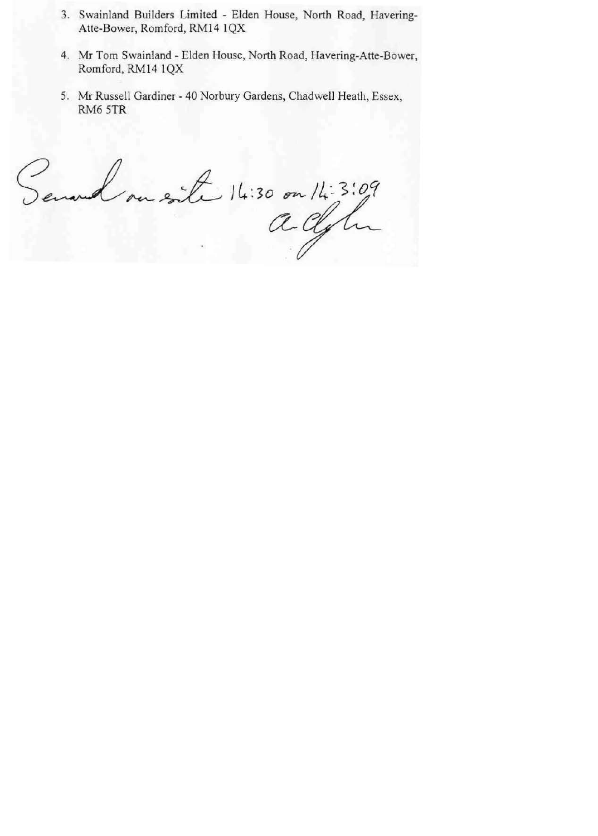- 3. Swainland Builders Limited Elden House, North Road, Havering-Atte-Bower, Romford, RM14 1QX
- 4. Mr Tom Swainland Elden House, North Road, Havering-Atte-Bower, Romford, RM14 lQX
- 5. Mr Russell Gardiner 40 Norbury Gardens, Chadwell Heath, Essex, RM6 STR

te 14:30 on 14:3:09  $\circ$